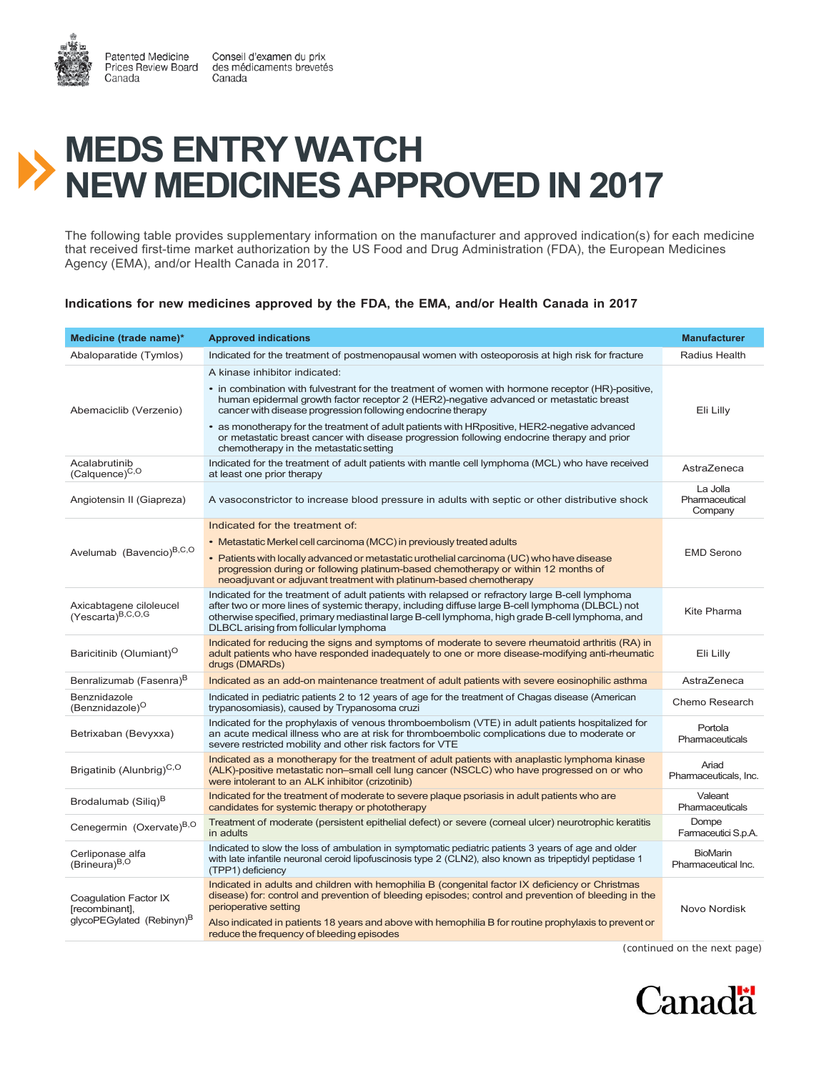Canada

Patented Medicine Conseil d'examen du prix Prices Review Board des médicaments brevetés Canada



The following table provides supplementary information on the manufacturer and approved indication(s) for each medicine that received first-time market authorization by the US Food and Drug Administration (FDA), the European Medicines Agency (EMA), and/or Health Canada in 2017.

## **Indications for new medicines approved by the FDA, the EMA, and/or Health Canada in 2017**

| Medicine (trade name)*                                                           | <b>Approved indications</b>                                                                                                                                                                                                                                                                                                                                                                                                                                                                                                         | <b>Manufacturer</b>                    |
|----------------------------------------------------------------------------------|-------------------------------------------------------------------------------------------------------------------------------------------------------------------------------------------------------------------------------------------------------------------------------------------------------------------------------------------------------------------------------------------------------------------------------------------------------------------------------------------------------------------------------------|----------------------------------------|
| Abaloparatide (Tymlos)                                                           | Indicated for the treatment of postmenopausal women with osteoporosis at high risk for fracture                                                                                                                                                                                                                                                                                                                                                                                                                                     | Radius Health                          |
| Abemaciclib (Verzenio)                                                           | A kinase inhibitor indicated:<br>• in combination with fulvestrant for the treatment of women with hormone receptor (HR)-positive,<br>human epidermal growth factor receptor 2 (HER2)-negative advanced or metastatic breast<br>cancer with disease progression following endocrine therapy<br>• as monotherapy for the treatment of adult patients with HRpositive, HER2-negative advanced<br>or metastatic breast cancer with disease progression following endocrine therapy and prior<br>chemotherapy in the metastatic setting | Eli Lilly                              |
| Acalabrutinib<br>(Calquence) <sup>C,O</sup>                                      | Indicated for the treatment of adult patients with mantle cell lymphoma (MCL) who have received<br>at least one prior therapy                                                                                                                                                                                                                                                                                                                                                                                                       | AstraZeneca                            |
| Angiotensin II (Giapreza)                                                        | A vasoconstrictor to increase blood pressure in adults with septic or other distributive shock                                                                                                                                                                                                                                                                                                                                                                                                                                      | La Jolla<br>Pharmaceutical<br>Company  |
| Avelumab (Bavencio) <sup>B,C,O</sup>                                             | Indicated for the treatment of:<br>• Metastatic Merkel cell carcinoma (MCC) in previously treated adults<br>• Patients with locally advanced or metastatic urothelial carcinoma (UC) who have disease<br>progression during or following platinum-based chemotherapy or within 12 months of<br>neoadjuvant or adjuvant treatment with platinum-based chemotherapy                                                                                                                                                                   | <b>EMD Serono</b>                      |
| Axicabtagene ciloleucel<br>$(Yescarta)^{B,C,O,G}$                                | Indicated for the treatment of adult patients with relapsed or refractory large B-cell lymphoma<br>after two or more lines of systemic therapy, including diffuse large B-cell lymphoma (DLBCL) not<br>otherwise specified, primary mediastinal large B-cell lymphoma, high grade B-cell lymphoma, and<br>DLBCL arising from follicular lymphoma                                                                                                                                                                                    | Kite Pharma                            |
| Baricitinib (Olumiant) <sup>O</sup>                                              | Indicated for reducing the signs and symptoms of moderate to severe rheumatoid arthritis (RA) in<br>adult patients who have responded inadequately to one or more disease-modifying anti-rheumatic<br>drugs (DMARDs)                                                                                                                                                                                                                                                                                                                | Eli Lilly                              |
| Benralizumab (Fasenra) <sup>B</sup>                                              | Indicated as an add-on maintenance treatment of adult patients with severe eosinophilic asthma                                                                                                                                                                                                                                                                                                                                                                                                                                      | AstraZeneca                            |
| Benznidazole<br>(Benznidazole) <sup>O</sup>                                      | Indicated in pediatric patients 2 to 12 years of age for the treatment of Chagas disease (American<br>trypanosomiasis), caused by Trypanosoma cruzi                                                                                                                                                                                                                                                                                                                                                                                 | Chemo Research                         |
| Betrixaban (Bevyxxa)                                                             | Indicated for the prophylaxis of venous thromboembolism (VTE) in adult patients hospitalized for<br>an acute medical illness who are at risk for thromboembolic complications due to moderate or<br>severe restricted mobility and other risk factors for VTE                                                                                                                                                                                                                                                                       | Portola<br>Pharmaceuticals             |
| Brigatinib (Alunbrig) <sup>C,O</sup>                                             | Indicated as a monotherapy for the treatment of adult patients with anaplastic lymphoma kinase<br>(ALK)-positive metastatic non-small cell lung cancer (NSCLC) who have progressed on or who<br>were intolerant to an ALK inhibitor (crizotinib)                                                                                                                                                                                                                                                                                    | Ariad<br>Pharmaceuticals, Inc.         |
| Brodalumab (Silig) <sup>B</sup>                                                  | Indicated for the treatment of moderate to severe plaque psoriasis in adult patients who are<br>candidates for systemic therapy or phototherapy                                                                                                                                                                                                                                                                                                                                                                                     | Valeant<br>Pharmaceuticals             |
| Cenegermin (Oxervate) <sup>B,O</sup>                                             | Treatment of moderate (persistent epithelial defect) or severe (corneal ulcer) neurotrophic keratitis<br>in adults                                                                                                                                                                                                                                                                                                                                                                                                                  | Dompe<br>Farmaceutici S.p.A.           |
| Cerliponase alfa<br>(Brineura) <sup>B,O</sup>                                    | Indicated to slow the loss of ambulation in symptomatic pediatric patients 3 years of age and older<br>with late infantile neuronal ceroid lipofuscinosis type 2 (CLN2), also known as tripeptidyl peptidase 1<br>(TPP1) deficiency                                                                                                                                                                                                                                                                                                 | <b>BioMarin</b><br>Pharmaceutical Inc. |
| Coagulation Factor IX<br>[recombinant],<br>qlycoPEGylated (Rebinyn) <sup>B</sup> | Indicated in adults and children with hemophilia B (congenital factor IX deficiency or Christmas<br>disease) for: control and prevention of bleeding episodes; control and prevention of bleeding in the<br>perioperative setting<br>Also indicated in patients 18 years and above with hemophilia B for routine prophylaxis to prevent or<br>reduce the frequency of bleeding episodes                                                                                                                                             | Novo Nordisk                           |

*(continued on the next page)*

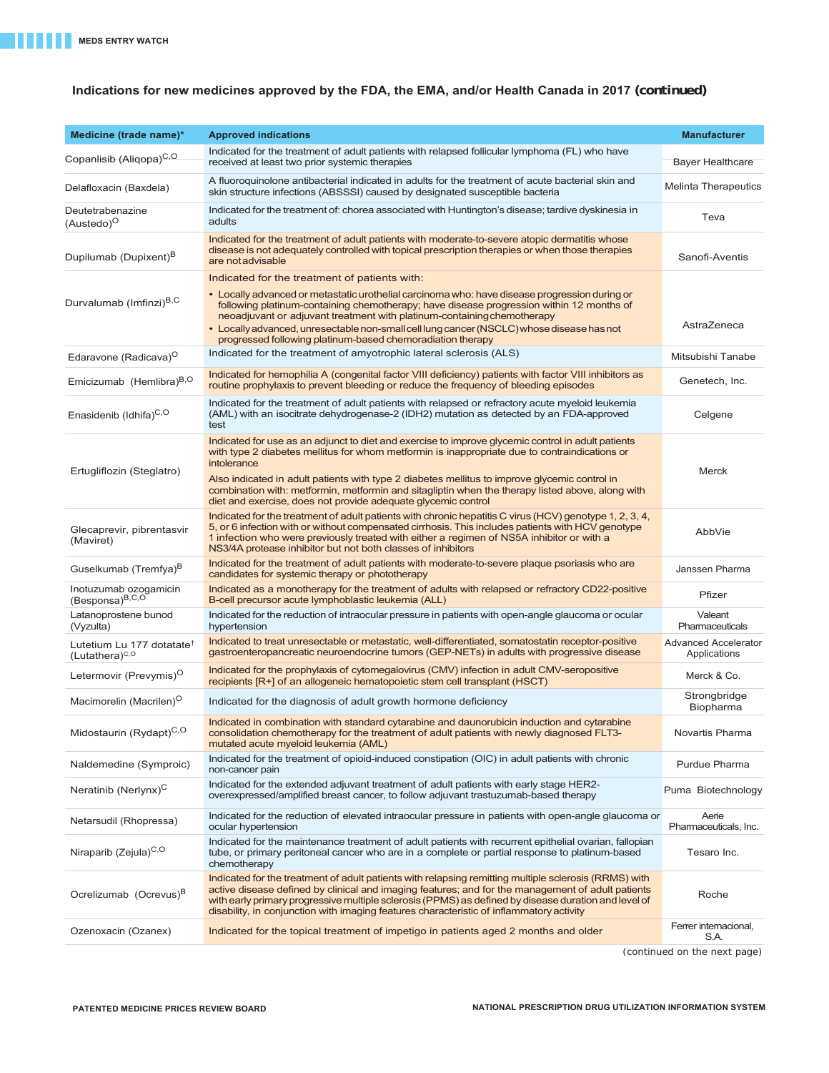## **Indications for new medicines approved by the FDA, the EMA, and/or Health Canada in 2017** *(continued)*

| Medicine (trade name)*                                              | <b>Approved indications</b>                                                                                                                                                                                                                                                                                                                                                                                                     | <b>Manufacturer</b>                         |
|---------------------------------------------------------------------|---------------------------------------------------------------------------------------------------------------------------------------------------------------------------------------------------------------------------------------------------------------------------------------------------------------------------------------------------------------------------------------------------------------------------------|---------------------------------------------|
| Copanlisib (Aliqopa)C,O.                                            | Indicated for the treatment of adult patients with relapsed follicular lymphoma (FL) who have<br>received at least two prior systemic therapies                                                                                                                                                                                                                                                                                 | <b>Bayer Healthcare</b>                     |
| Delafloxacin (Baxdela)                                              | A fluoroquinolone antibacterial indicated in adults for the treatment of acute bacterial skin and<br>skin structure infections (ABSSSI) caused by designated susceptible bacteria                                                                                                                                                                                                                                               | <b>Melinta Therapeutics</b>                 |
| Deutetrabenazine<br>(Austedo) <sup>O</sup>                          | Indicated for the treatment of: chorea associated with Huntington's disease; tardive dyskinesia in<br>adults                                                                                                                                                                                                                                                                                                                    | Teva                                        |
| Dupilumab (Dupixent) <sup>B</sup>                                   | Indicated for the treatment of adult patients with moderate-to-severe atopic dermatitis whose<br>disease is not adequately controlled with topical prescription therapies or when those therapies<br>are not advisable                                                                                                                                                                                                          | Sanofi-Aventis                              |
|                                                                     | Indicated for the treatment of patients with:                                                                                                                                                                                                                                                                                                                                                                                   |                                             |
| Durvalumab (Imfinzi) <sup>B,C</sup>                                 | • Locally advanced or metastatic urothelial carcinoma who: have disease progression during or<br>following platinum-containing chemotherapy; have disease progression within 12 months of<br>neoadjuvant or adjuvant treatment with platinum-containing chemotherapy<br>• Locally advanced, unresectable non-small cell lung cancer (NSCLC) whose disease has not<br>progressed following platinum-based chemoradiation therapy | AstraZeneca                                 |
| Edaravone (Radicava) <sup>O</sup>                                   | Indicated for the treatment of amyotrophic lateral sclerosis (ALS)                                                                                                                                                                                                                                                                                                                                                              | Mitsubishi Tanabe                           |
| Emicizumab (Hemlibra) <sup>B,O</sup>                                | Indicated for hemophilia A (congenital factor VIII deficiency) patients with factor VIII inhibitors as<br>routine prophylaxis to prevent bleeding or reduce the frequency of bleeding episodes                                                                                                                                                                                                                                  | Genetech, Inc.                              |
| Enasidenib (Idhifa) <sup>C,O</sup>                                  | Indicated for the treatment of adult patients with relapsed or refractory acute myeloid leukemia<br>(AML) with an isocitrate dehydrogenase-2 (IDH2) mutation as detected by an FDA-approved<br>test                                                                                                                                                                                                                             | Celgene                                     |
| Ertugliflozin (Steglatro)                                           | Indicated for use as an adjunct to diet and exercise to improve glycemic control in adult patients<br>with type 2 diabetes mellitus for whom metformin is inappropriate due to contraindications or<br>intolerance                                                                                                                                                                                                              | Merck                                       |
|                                                                     | Also indicated in adult patients with type 2 diabetes mellitus to improve glycemic control in<br>combination with: metformin, metformin and sitagliptin when the therapy listed above, along with<br>diet and exercise, does not provide adequate glycemic control                                                                                                                                                              |                                             |
| Glecaprevir, pibrentasvir<br>(Maviret)                              | Indicated for the treatment of adult patients with chronic hepatitis C virus (HCV) genotype 1, 2, 3, 4,<br>5, or 6 infection with or without compensated cirrhosis. This includes patients with HCV genotype<br>1 infection who were previously treated with either a regimen of NS5A inhibitor or with a<br>NS3/4A protease inhibitor but not both classes of inhibitors                                                       | AbbVie                                      |
| Guselkumab (Tremfya) <sup>B</sup>                                   | Indicated for the treatment of adult patients with moderate-to-severe plaque psoriasis who are<br>candidates for systemic therapy or phototherapy                                                                                                                                                                                                                                                                               | Janssen Pharma                              |
| Inotuzumab ozogamicin<br>(Besponsa) <sup>B,C,O</sup>                | Indicated as a monotherapy for the treatment of adults with relapsed or refractory CD22-positive<br>B-cell precursor acute lymphoblastic leukemia (ALL)                                                                                                                                                                                                                                                                         | Pfizer                                      |
| Latanoprostene bunod<br>(Vyzulta)                                   | Indicated for the reduction of intraocular pressure in patients with open-angle glaucoma or ocular<br>hypertension                                                                                                                                                                                                                                                                                                              | Valeant<br>Pharmaceuticals                  |
| Lutetium Lu 177 dotatate <sup>+</sup><br>(Lutathera) <sup>C,O</sup> | Indicated to treat unresectable or metastatic, well-differentiated, somatostatin receptor-positive<br>gastroenteropancreatic neuroendocrine tumors (GEP-NETs) in adults with progressive disease                                                                                                                                                                                                                                | <b>Advanced Accelerator</b><br>Applications |
| Letermovir (Prevymis) <sup>O</sup>                                  | Indicated for the prophylaxis of cytomegalovirus (CMV) infection in adult CMV-seropositive<br>recipients [R+] of an allogeneic hematopoietic stem cell transplant (HSCT)                                                                                                                                                                                                                                                        | Merck & Co.                                 |
| Macimorelin (Macrilen) <sup>O</sup>                                 | Indicated for the diagnosis of adult growth hormone deficiency                                                                                                                                                                                                                                                                                                                                                                  | Strongbridge<br>Biopharma                   |
| Midostaurin (Rydapt) <sup>C,O</sup>                                 | Indicated in combination with standard cytarabine and daunorubicin induction and cytarabine<br>consolidation chemotherapy for the treatment of adult patients with newly diagnosed FLT3-<br>mutated acute myeloid leukemia (AML)                                                                                                                                                                                                | Novartis Pharma                             |
| Naldemedine (Symproic)                                              | Indicated for the treatment of opioid-induced constipation (OIC) in adult patients with chronic<br>non-cancer pain                                                                                                                                                                                                                                                                                                              | Purdue Pharma                               |
| Neratinib (Nerlynx) <sup>C</sup>                                    | Indicated for the extended adjuvant treatment of adult patients with early stage HER2-<br>overexpressed/amplified breast cancer, to follow adjuvant trastuzumab-based therapy                                                                                                                                                                                                                                                   | Puma Biotechnology                          |
| Netarsudil (Rhopressa)                                              | Indicated for the reduction of elevated intraocular pressure in patients with open-angle glaucoma or<br>ocular hypertension                                                                                                                                                                                                                                                                                                     | Aerie<br>Pharmaceuticals, Inc.              |
| Niraparib (Zejula) <sup>C,O</sup>                                   | Indicated for the maintenance treatment of adult patients with recurrent epithelial ovarian, fallopian<br>tube, or primary peritoneal cancer who are in a complete or partial response to platinum-based<br>chemotherapy                                                                                                                                                                                                        | Tesaro Inc.                                 |
| Ocrelizumab (Ocrevus) <sup>B</sup>                                  | Indicated for the treatment of adult patients with relapsing remitting multiple sclerosis (RRMS) with<br>active disease defined by clinical and imaging features; and for the management of adult patients<br>with early primary progressive multiple sclerosis (PPMS) as defined by disease duration and level of<br>disability, in conjunction with imaging features characteristic of inflammatory activity                  | Roche                                       |
| Ozenoxacin (Ozanex)                                                 | Indicated for the topical treatment of impetigo in patients aged 2 months and older                                                                                                                                                                                                                                                                                                                                             | Ferrer internacional,<br>S.A.               |

*(continued on the next page)*